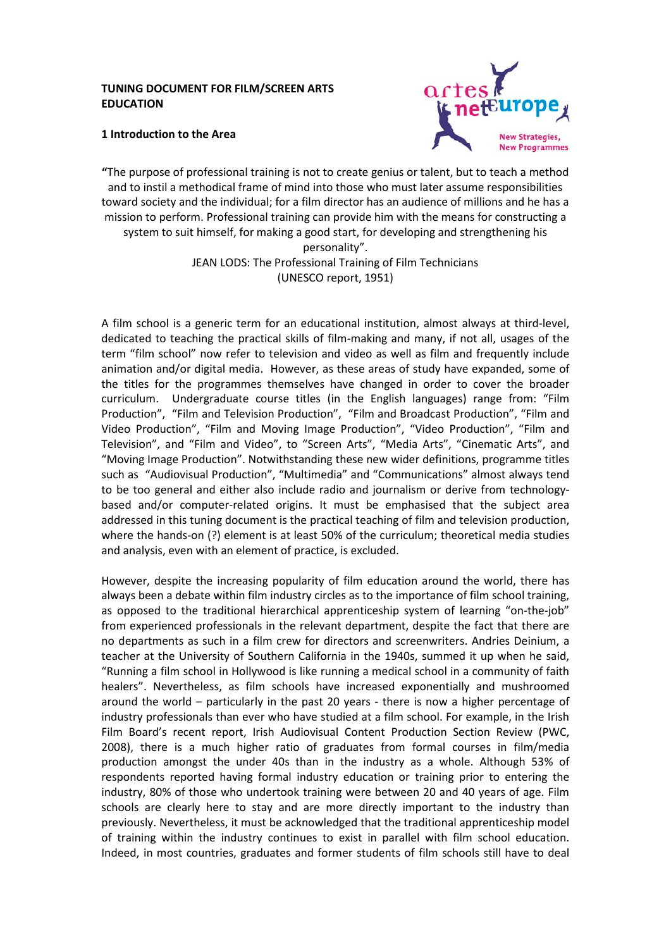#### **TUNING DOCUMENT FOR FILM/SCREEN ARTS EDUCATION**



#### **1 Introduction to the Area**

**"**The purpose of professional training is not to create genius or talent, but to teach a method and to instil a methodical frame of mind into those who must later assume responsibilities toward society and the individual; for a film director has an audience of millions and he has a mission to perform. Professional training can provide him with the means for constructing a system to suit himself, for making a good start, for developing and strengthening his personality". JEAN LODS: The Professional Training of Film Technicians (UNESCO report, 1951)

A film school is a generic term for an educational institution, almost always at third-level, dedicated to teaching the practical skills of film-making and many, if not all, usages of the term "film school" now refer to television and video as well as film and frequently include animation and/or digital media. However, as these areas of study have expanded, some of the titles for the programmes themselves have changed in order to cover the broader curriculum. Undergraduate course titles (in the English languages) range from: "Film Production", "Film and Television Production", "Film and Broadcast Production", "Film and Video Production", "Film and Moving Image Production", "Video Production", "Film and Television", and "Film and Video", to "Screen Arts", "Media Arts", "Cinematic Arts", and "Moving Image Production". Notwithstanding these new wider definitions, programme titles such as "Audiovisual Production", "Multimedia" and "Communications" almost always tend to be too general and either also include radio and journalism or derive from technologybased and/or computer-related origins. It must be emphasised that the subject area addressed in this tuning document is the practical teaching of film and television production, where the hands-on (?) element is at least 50% of the curriculum; theoretical media studies and analysis, even with an element of practice, is excluded.

However, despite the increasing popularity of film education around the world, there has always been a debate within film industry circles as to the importance of film school training, as opposed to the traditional hierarchical apprenticeship system of learning "on-the-job" from experienced professionals in the relevant department, despite the fact that there are no departments as such in a film crew for directors and screenwriters. Andries Deinium, a teacher at the University of Southern California in the 1940s, summed it up when he said, "Running a film school in Hollywood is like running a medical school in a community of faith healers". Nevertheless, as film schools have increased exponentially and mushroomed around the world – particularly in the past 20 years - there is now a higher percentage of industry professionals than ever who have studied at a film school. For example, in the Irish Film Board's recent report, Irish Audiovisual Content Production Section Review (PWC, 2008), there is a much higher ratio of graduates from formal courses in film/media production amongst the under 40s than in the industry as a whole. Although 53% of respondents reported having formal industry education or training prior to entering the industry, 80% of those who undertook training were between 20 and 40 years of age. Film schools are clearly here to stay and are more directly important to the industry than previously. Nevertheless, it must be acknowledged that the traditional apprenticeship model of training within the industry continues to exist in parallel with film school education. Indeed, in most countries, graduates and former students of film schools still have to deal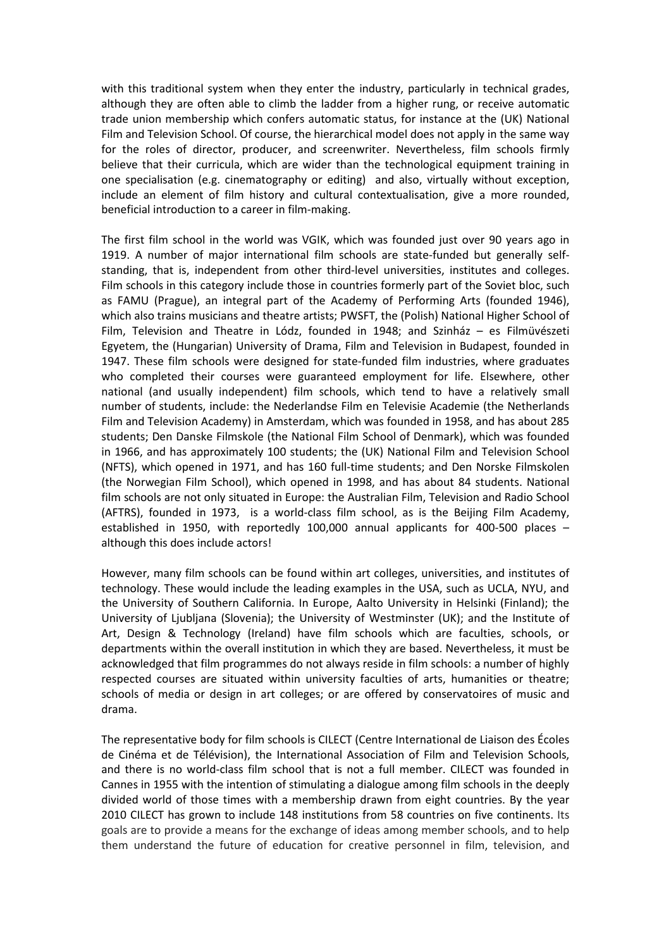with this traditional system when they enter the industry, particularly in technical grades, although they are often able to climb the ladder from a higher rung, or receive automatic trade union membership which confers automatic status, for instance at the (UK) National Film and Television School. Of course, the hierarchical model does not apply in the same way for the roles of director, producer, and screenwriter. Nevertheless, film schools firmly believe that their curricula, which are wider than the technological equipment training in one specialisation (e.g. cinematography or editing) and also, virtually without exception, include an element of film history and cultural contextualisation, give a more rounded, beneficial introduction to a career in film-making.

The first film school in the world was VGIK, which was founded just over 90 years ago in 1919. A number of major international film schools are state-funded but generally selfstanding, that is, independent from other third-level universities, institutes and colleges. Film schools in this category include those in countries formerly part of the Soviet bloc, such as FAMU (Prague), an integral part of the Academy of Performing Arts (founded 1946), which also trains musicians and theatre artists; PWSFT, the (Polish) National Higher School of Film, Television and Theatre in Lódz, founded in 1948; and Szinház – es Filmüvészeti Egyetem, the (Hungarian) University of Drama, Film and Television in Budapest, founded in 1947. These film schools were designed for state-funded film industries, where graduates who completed their courses were guaranteed employment for life. Elsewhere, other national (and usually independent) film schools, which tend to have a relatively small number of students, include: the Nederlandse Film en Televisie Academie (the Netherlands Film and Television Academy) in Amsterdam, which was founded in 1958, and has about 285 students; Den Danske Filmskole (the National Film School of Denmark), which was founded in 1966, and has approximately 100 students; the (UK) National Film and Television School (NFTS), which opened in 1971, and has 160 full-time students; and Den Norske Filmskolen (the Norwegian Film School), which opened in 1998, and has about 84 students. National film schools are not only situated in Europe: the Australian Film, Television and Radio School (AFTRS), founded in 1973, is a world-class film school, as is the Beijing Film Academy, established in 1950, with reportedly 100,000 annual applicants for 400-500 places – although this does include actors!

However, many film schools can be found within art colleges, universities, and institutes of technology. These would include the leading examples in the USA, such as UCLA, NYU, and the University of Southern California. In Europe, Aalto University in Helsinki (Finland); the University of Ljubljana (Slovenia); the University of Westminster (UK); and the Institute of Art, Design & Technology (Ireland) have film schools which are faculties, schools, or departments within the overall institution in which they are based. Nevertheless, it must be acknowledged that film programmes do not always reside in film schools: a number of highly respected courses are situated within university faculties of arts, humanities or theatre; schools of media or design in art colleges; or are offered by conservatoires of music and drama.

The representative body for film schools is CILECT (Centre International de Liaison des Écoles de Cinéma et de Télévision), the International Association of Film and Television Schools, and there is no world-class film school that is not a full member. CILECT was founded in Cannes in 1955 with the intention of stimulating a dialogue among film schools in the deeply divided world of those times with a membership drawn from eight countries. By the year 2010 CILECT has grown to include 148 institutions from 58 countries on five continents. Its goals are to provide a means for the exchange of ideas among member schools, and to help them understand the future of education for creative personnel in film, television, and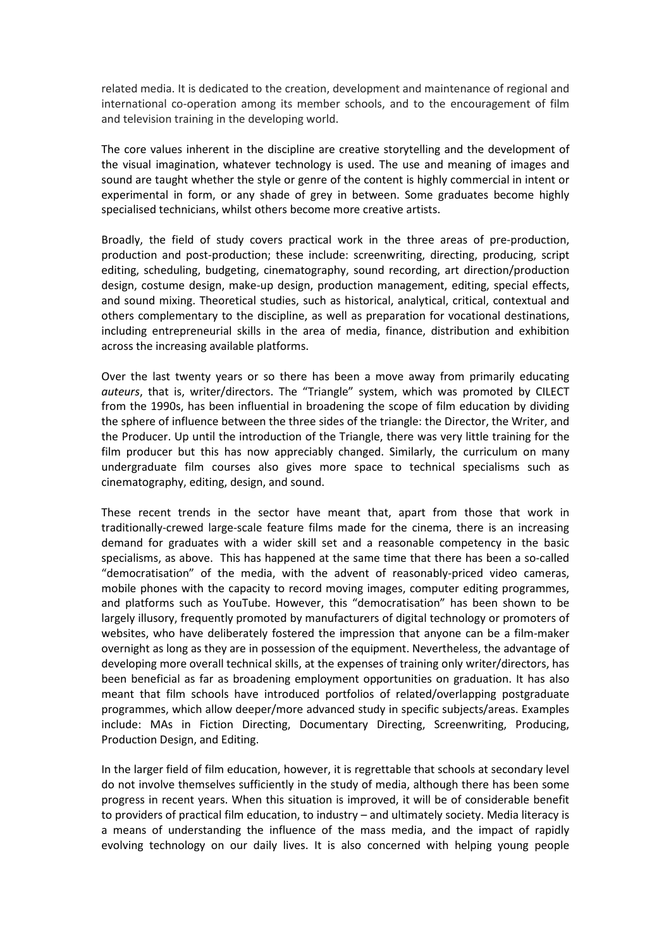related media. It is dedicated to the creation, development and maintenance of regional and international co-operation among its member schools, and to the encouragement of film and television training in the developing world.

The core values inherent in the discipline are creative storytelling and the development of the visual imagination, whatever technology is used. The use and meaning of images and sound are taught whether the style or genre of the content is highly commercial in intent or experimental in form, or any shade of grey in between. Some graduates become highly specialised technicians, whilst others become more creative artists.

Broadly, the field of study covers practical work in the three areas of pre-production, production and post-production; these include: screenwriting, directing, producing, script editing, scheduling, budgeting, cinematography, sound recording, art direction/production design, costume design, make-up design, production management, editing, special effects, and sound mixing. Theoretical studies, such as historical, analytical, critical, contextual and others complementary to the discipline, as well as preparation for vocational destinations, including entrepreneurial skills in the area of media, finance, distribution and exhibition across the increasing available platforms.

Over the last twenty years or so there has been a move away from primarily educating *auteurs*, that is, writer/directors. The "Triangle" system, which was promoted by CILECT from the 1990s, has been influential in broadening the scope of film education by dividing the sphere of influence between the three sides of the triangle: the Director, the Writer, and the Producer. Up until the introduction of the Triangle, there was very little training for the film producer but this has now appreciably changed. Similarly, the curriculum on many undergraduate film courses also gives more space to technical specialisms such as cinematography, editing, design, and sound.

These recent trends in the sector have meant that, apart from those that work in traditionally-crewed large-scale feature films made for the cinema, there is an increasing demand for graduates with a wider skill set and a reasonable competency in the basic specialisms, as above. This has happened at the same time that there has been a so-called "democratisation" of the media, with the advent of reasonably-priced video cameras, mobile phones with the capacity to record moving images, computer editing programmes, and platforms such as YouTube. However, this "democratisation" has been shown to be largely illusory, frequently promoted by manufacturers of digital technology or promoters of websites, who have deliberately fostered the impression that anyone can be a film-maker overnight as long as they are in possession of the equipment. Nevertheless, the advantage of developing more overall technical skills, at the expenses of training only writer/directors, has been beneficial as far as broadening employment opportunities on graduation. It has also meant that film schools have introduced portfolios of related/overlapping postgraduate programmes, which allow deeper/more advanced study in specific subjects/areas. Examples include: MAs in Fiction Directing, Documentary Directing, Screenwriting, Producing, Production Design, and Editing.

In the larger field of film education, however, it is regrettable that schools at secondary level do not involve themselves sufficiently in the study of media, although there has been some progress in recent years. When this situation is improved, it will be of considerable benefit to providers of practical film education, to industry – and ultimately society. Media literacy is a means of understanding the influence of the mass media, and the impact of rapidly evolving technology on our daily lives. It is also concerned with helping young people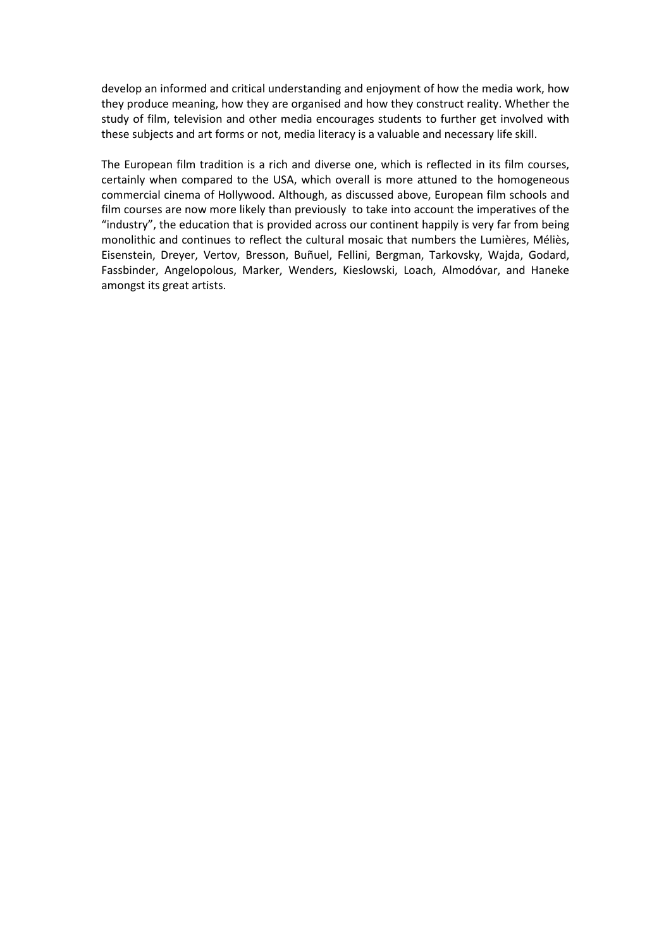develop an informed and critical understanding and enjoyment of how the media work, how they produce meaning, how they are organised and how they construct reality. Whether the study of film, television and other media encourages students to further get involved with these subjects and art forms or not, media literacy is a valuable and necessary life skill.

The European film tradition is a rich and diverse one, which is reflected in its film courses, certainly when compared to the USA, which overall is more attuned to the homogeneous commercial cinema of Hollywood. Although, as discussed above, European film schools and film courses are now more likely than previously to take into account the imperatives of the "industry", the education that is provided across our continent happily is very far from being monolithic and continues to reflect the cultural mosaic that numbers the Lumières, Méliès, Eisenstein, Dreyer, Vertov, Bresson, Buñuel, Fellini, Bergman, Tarkovsky, Wajda, Godard, Fassbinder, Angelopolous, Marker, Wenders, Kieslowski, Loach, Almodóvar, and Haneke amongst its great artists.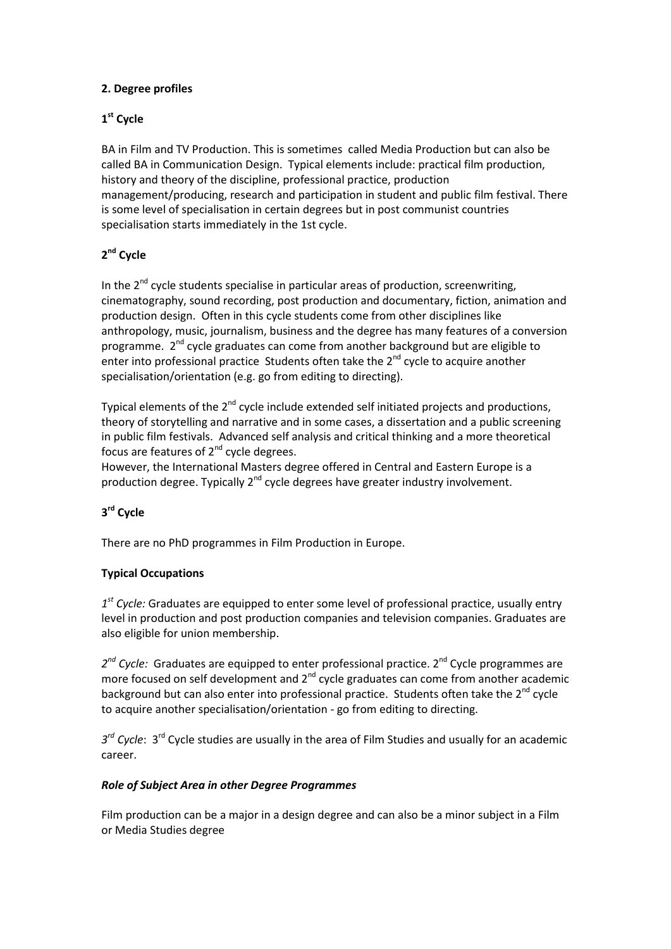## **2. Degree profiles**

## **1st Cycle**

BA in Film and TV Production. This is sometimes called Media Production but can also be called BA in Communication Design. Typical elements include: practical film production, history and theory of the discipline, professional practice, production management/producing, research and participation in student and public film festival. There is some level of specialisation in certain degrees but in post communist countries specialisation starts immediately in the 1st cycle.

# **2nd Cycle**

In the  $2^{nd}$  cycle students specialise in particular areas of production, screenwriting, cinematography, sound recording, post production and documentary, fiction, animation and production design. Often in this cycle students come from other disciplines like anthropology, music, journalism, business and the degree has many features of a conversion programme. 2<sup>nd</sup> cycle graduates can come from another background but are eligible to enter into professional practice Students often take the  $2^{nd}$  cycle to acquire another specialisation/orientation (e.g. go from editing to directing).

Typical elements of the 2<sup>nd</sup> cycle include extended self initiated projects and productions, theory of storytelling and narrative and in some cases, a dissertation and a public screening in public film festivals. Advanced self analysis and critical thinking and a more theoretical focus are features of  $2^{nd}$  cycle degrees.

However, the International Masters degree offered in Central and Eastern Europe is a production degree. Typically 2<sup>nd</sup> cycle degrees have greater industry involvement.

## **3rd Cycle**

There are no PhD programmes in Film Production in Europe.

## **Typical Occupations**

*1st Cycle:* Graduates are equipped to enter some level of professional practice, usually entry level in production and post production companies and television companies. Graduates are also eligible for union membership.

2<sup>nd</sup> Cycle: Graduates are equipped to enter professional practice. 2<sup>nd</sup> Cycle programmes are more focused on self development and  $2<sup>nd</sup>$  cycle graduates can come from another academic background but can also enter into professional practice. Students often take the  $2^{nd}$  cycle to acquire another specialisation/orientation - go from editing to directing.

*3rd Cycle*: 3rd Cycle studies are usually in the area of Film Studies and usually for an academic career.

## *Role of Subject Area in other Degree Programmes*

Film production can be a major in a design degree and can also be a minor subject in a Film or Media Studies degree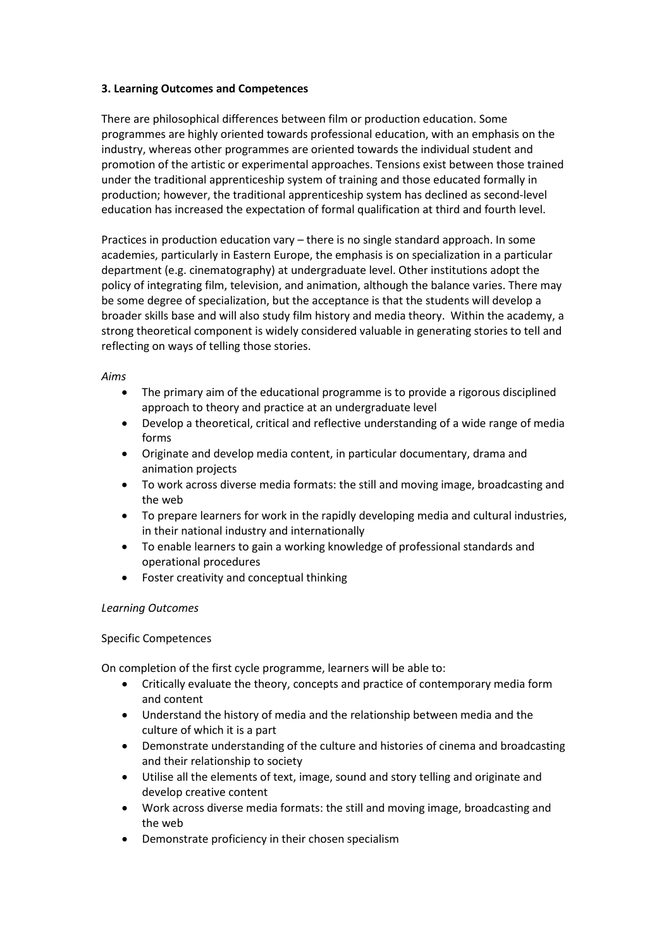#### **3. Learning Outcomes and Competences**

There are philosophical differences between film or production education. Some programmes are highly oriented towards professional education, with an emphasis on the industry, whereas other programmes are oriented towards the individual student and promotion of the artistic or experimental approaches. Tensions exist between those trained under the traditional apprenticeship system of training and those educated formally in production; however, the traditional apprenticeship system has declined as second-level education has increased the expectation of formal qualification at third and fourth level.

Practices in production education vary – there is no single standard approach. In some academies, particularly in Eastern Europe, the emphasis is on specialization in a particular department (e.g. cinematography) at undergraduate level. Other institutions adopt the policy of integrating film, television, and animation, although the balance varies. There may be some degree of specialization, but the acceptance is that the students will develop a broader skills base and will also study film history and media theory. Within the academy, a strong theoretical component is widely considered valuable in generating stories to tell and reflecting on ways of telling those stories.

#### *Aims*

- The primary aim of the educational programme is to provide a rigorous disciplined approach to theory and practice at an undergraduate level
- Develop a theoretical, critical and reflective understanding of a wide range of media forms
- Originate and develop media content, in particular documentary, drama and animation projects
- To work across diverse media formats: the still and moving image, broadcasting and the web
- To prepare learners for work in the rapidly developing media and cultural industries, in their national industry and internationally
- To enable learners to gain a working knowledge of professional standards and operational procedures
- Foster creativity and conceptual thinking

#### *Learning Outcomes*

#### Specific Competences

On completion of the first cycle programme, learners will be able to:

- Critically evaluate the theory, concepts and practice of contemporary media form and content
- Understand the history of media and the relationship between media and the culture of which it is a part
- Demonstrate understanding of the culture and histories of cinema and broadcasting and their relationship to society
- Utilise all the elements of text, image, sound and story telling and originate and develop creative content
- Work across diverse media formats: the still and moving image, broadcasting and the web
- Demonstrate proficiency in their chosen specialism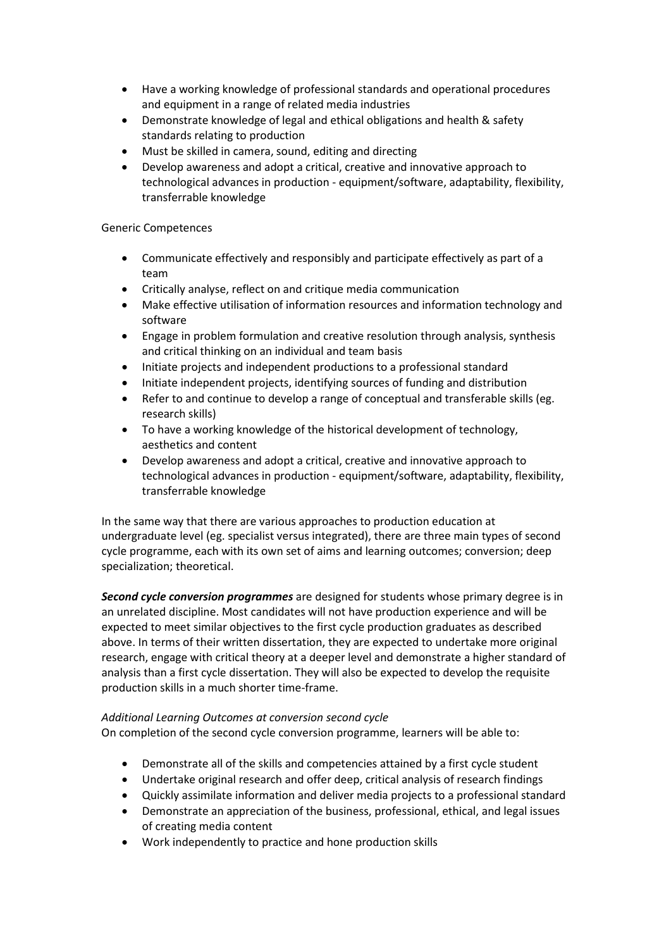- Have a working knowledge of professional standards and operational procedures and equipment in a range of related media industries
- Demonstrate knowledge of legal and ethical obligations and health & safety standards relating to production
- Must be skilled in camera, sound, editing and directing
- Develop awareness and adopt a critical, creative and innovative approach to technological advances in production - equipment/software, adaptability, flexibility, transferrable knowledge

#### Generic Competences

- Communicate effectively and responsibly and participate effectively as part of a team
- Critically analyse, reflect on and critique media communication
- Make effective utilisation of information resources and information technology and software
- Engage in problem formulation and creative resolution through analysis, synthesis and critical thinking on an individual and team basis
- Initiate projects and independent productions to a professional standard
- Initiate independent projects, identifying sources of funding and distribution
- Refer to and continue to develop a range of conceptual and transferable skills (eg. research skills)
- To have a working knowledge of the historical development of technology, aesthetics and content
- Develop awareness and adopt a critical, creative and innovative approach to technological advances in production - equipment/software, adaptability, flexibility, transferrable knowledge

In the same way that there are various approaches to production education at undergraduate level (eg. specialist versus integrated), there are three main types of second cycle programme, each with its own set of aims and learning outcomes; conversion; deep specialization; theoretical.

*Second cycle conversion programmes* are designed for students whose primary degree is in an unrelated discipline. Most candidates will not have production experience and will be expected to meet similar objectives to the first cycle production graduates as described above. In terms of their written dissertation, they are expected to undertake more original research, engage with critical theory at a deeper level and demonstrate a higher standard of analysis than a first cycle dissertation. They will also be expected to develop the requisite production skills in a much shorter time-frame.

#### *Additional Learning Outcomes at conversion second cycle*

On completion of the second cycle conversion programme, learners will be able to:

- Demonstrate all of the skills and competencies attained by a first cycle student
- Undertake original research and offer deep, critical analysis of research findings
- Quickly assimilate information and deliver media projects to a professional standard
- Demonstrate an appreciation of the business, professional, ethical, and legal issues of creating media content
- Work independently to practice and hone production skills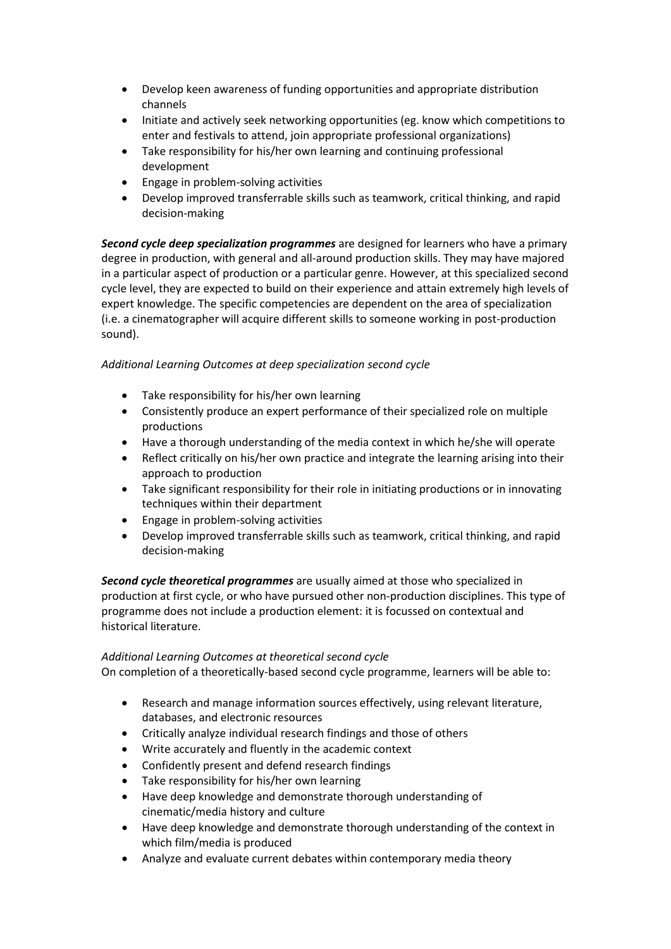- Develop keen awareness of funding opportunities and appropriate distribution channels
- Initiate and actively seek networking opportunities (eg. know which competitions to enter and festivals to attend, join appropriate professional organizations)
- Take responsibility for his/her own learning and continuing professional development
- Engage in problem-solving activities
- Develop improved transferrable skills such as teamwork, critical thinking, and rapid decision-making

*Second cycle deep specialization programmes* are designed for learners who have a primary degree in production, with general and all-around production skills. They may have majored in a particular aspect of production or a particular genre. However, at this specialized second cycle level, they are expected to build on their experience and attain extremely high levels of expert knowledge. The specific competencies are dependent on the area of specialization (i.e. a cinematographer will acquire different skills to someone working in post-production sound).

## *Additional Learning Outcomes at deep specialization second cycle*

- Take responsibility for his/her own learning
- Consistently produce an expert performance of their specialized role on multiple productions
- Have a thorough understanding of the media context in which he/she will operate
- Reflect critically on his/her own practice and integrate the learning arising into their approach to production
- Take significant responsibility for their role in initiating productions or in innovating techniques within their department
- Engage in problem-solving activities
- Develop improved transferrable skills such as teamwork, critical thinking, and rapid decision-making

*Second cycle theoretical programmes* are usually aimed at those who specialized in production at first cycle, or who have pursued other non-production disciplines. This type of programme does not include a production element: it is focussed on contextual and historical literature.

## *Additional Learning Outcomes at theoretical second cycle*

On completion of a theoretically-based second cycle programme, learners will be able to:

- Research and manage information sources effectively, using relevant literature, databases, and electronic resources
- Critically analyze individual research findings and those of others
- Write accurately and fluently in the academic context
- Confidently present and defend research findings
- Take responsibility for his/her own learning
- Have deep knowledge and demonstrate thorough understanding of cinematic/media history and culture
- Have deep knowledge and demonstrate thorough understanding of the context in which film/media is produced
- Analyze and evaluate current debates within contemporary media theory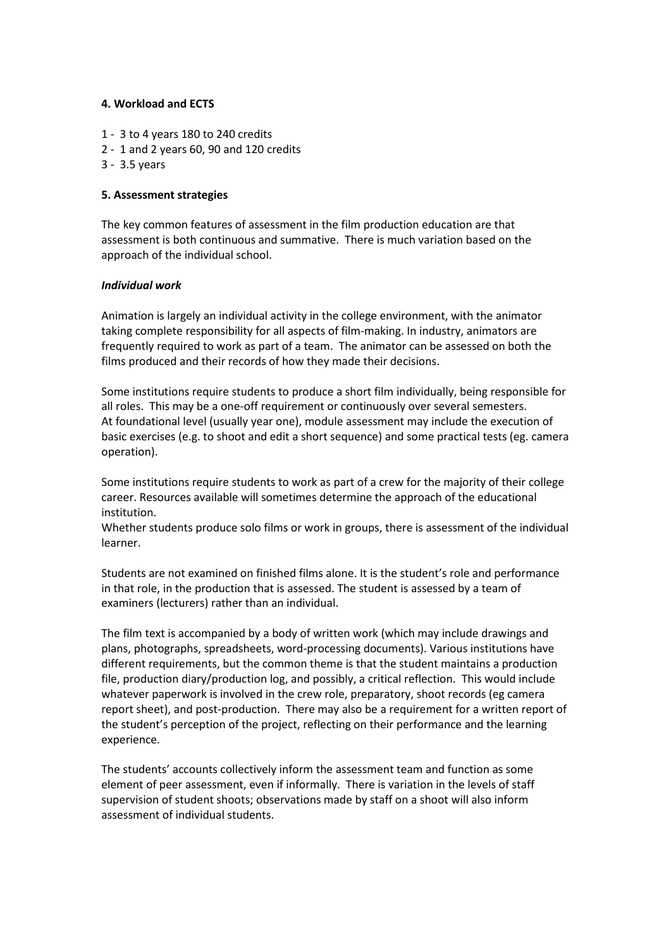#### **4. Workload and ECTS**

- 1 3 to 4 years 180 to 240 credits
- 2 1 and 2 years 60, 90 and 120 credits
- 3 3.5 years

#### **5. Assessment strategies**

The key common features of assessment in the film production education are that assessment is both continuous and summative. There is much variation based on the approach of the individual school.

#### *Individual work*

Animation is largely an individual activity in the college environment, with the animator taking complete responsibility for all aspects of film-making. In industry, animators are frequently required to work as part of a team. The animator can be assessed on both the films produced and their records of how they made their decisions.

Some institutions require students to produce a short film individually, being responsible for all roles. This may be a one-off requirement or continuously over several semesters. At foundational level (usually year one), module assessment may include the execution of basic exercises (e.g. to shoot and edit a short sequence) and some practical tests (eg. camera operation).

Some institutions require students to work as part of a crew for the majority of their college career. Resources available will sometimes determine the approach of the educational institution.

Whether students produce solo films or work in groups, there is assessment of the individual learner.

Students are not examined on finished films alone. It is the student's role and performance in that role, in the production that is assessed. The student is assessed by a team of examiners (lecturers) rather than an individual.

The film text is accompanied by a body of written work (which may include drawings and plans, photographs, spreadsheets, word-processing documents). Various institutions have different requirements, but the common theme is that the student maintains a production file, production diary/production log, and possibly, a critical reflection. This would include whatever paperwork is involved in the crew role, preparatory, shoot records (eg camera report sheet), and post-production. There may also be a requirement for a written report of the student's perception of the project, reflecting on their performance and the learning experience.

The students' accounts collectively inform the assessment team and function as some element of peer assessment, even if informally. There is variation in the levels of staff supervision of student shoots; observations made by staff on a shoot will also inform assessment of individual students.